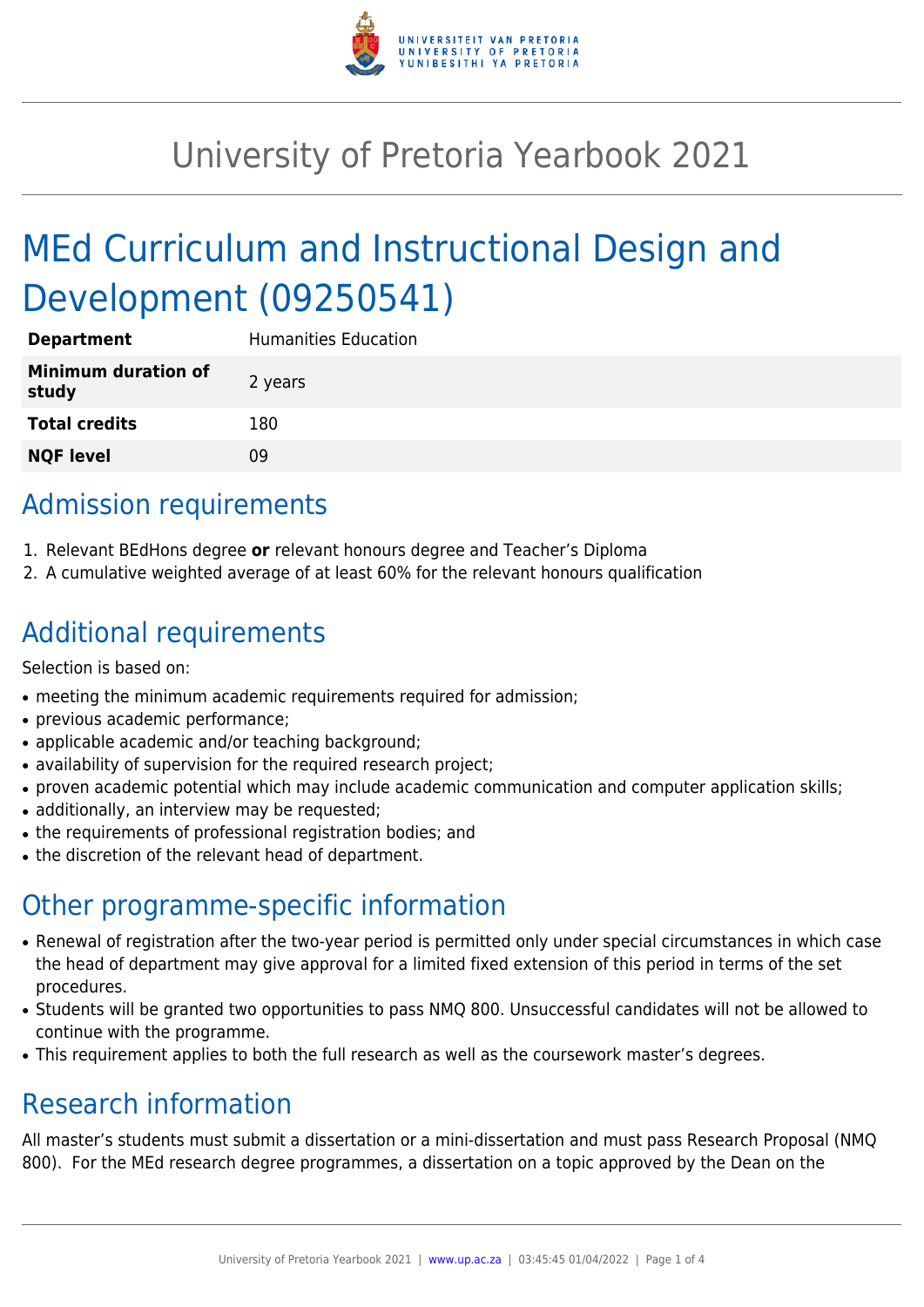

# University of Pretoria Yearbook 2021

# MEd Curriculum and Instructional Design and Development (09250541)

| <b>Department</b>                   | <b>Humanities Education</b> |
|-------------------------------------|-----------------------------|
| <b>Minimum duration of</b><br>study | 2 years                     |
| <b>Total credits</b>                | 180                         |
| <b>NQF level</b>                    | ng                          |

## Admission requirements

- 1. Relevant BEdHons degree **or** relevant honours degree and Teacher's Diploma
- 2. A cumulative weighted average of at least 60% for the relevant honours qualification

## Additional requirements

Selection is based on:

- meeting the minimum academic requirements required for admission;
- previous academic performance;
- applicable academic and/or teaching background;
- availability of supervision for the required research project;
- proven academic potential which may include academic communication and computer application skills;
- additionally, an interview may be requested:
- the requirements of professional registration bodies; and
- the discretion of the relevant head of department.

### Other programme-specific information

- Renewal of registration after the two-year period is permitted only under special circumstances in which case the head of department may give approval for a limited fixed extension of this period in terms of the set procedures.
- Students will be granted two opportunities to pass NMQ 800. Unsuccessful candidates will not be allowed to continue with the programme.
- This requirement applies to both the full research as well as the coursework master's degrees.

### Research information

All master's students must submit a dissertation or a mini-dissertation and must pass Research Proposal (NMQ 800). For the MEd research degree programmes, a dissertation on a topic approved by the Dean on the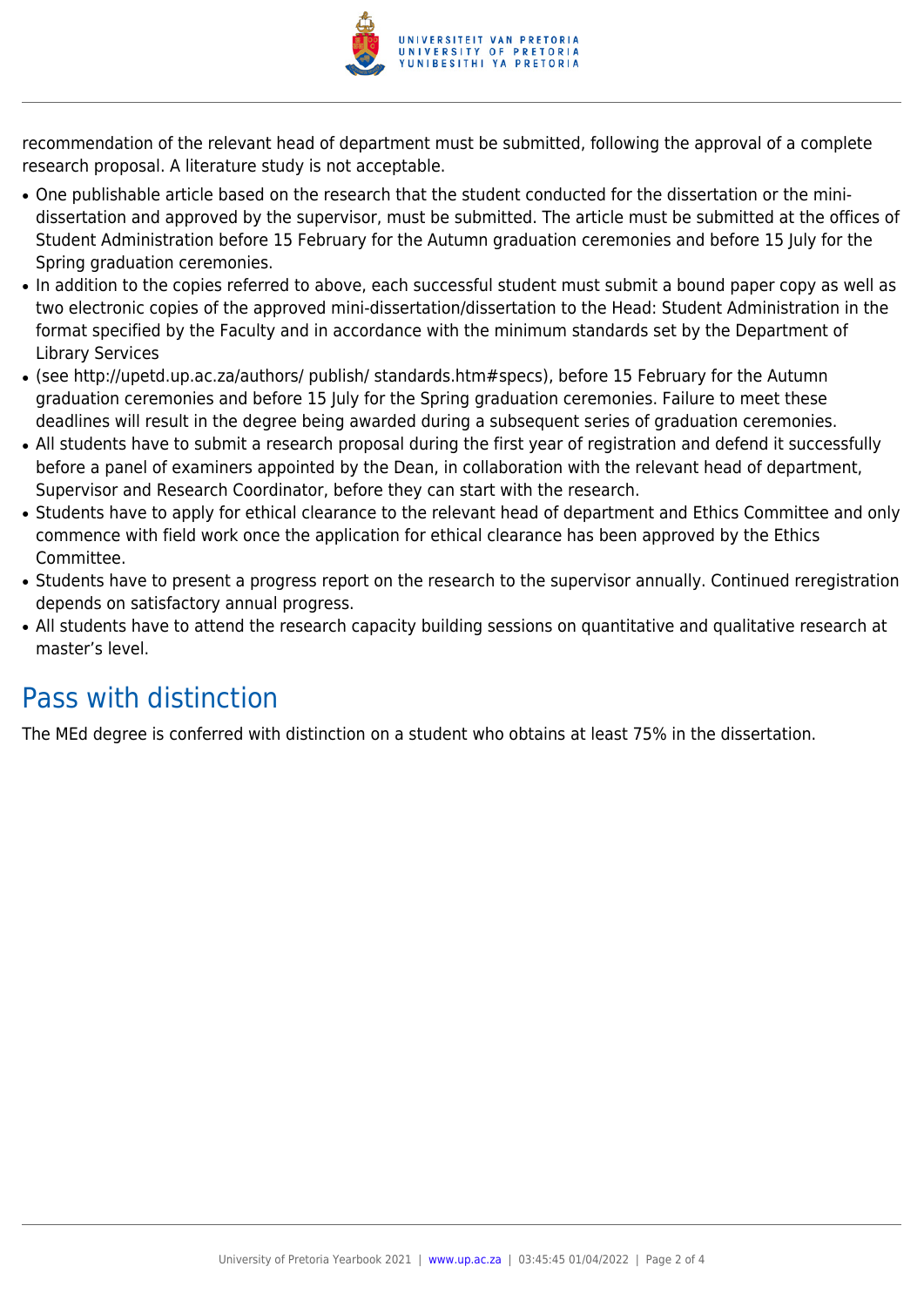

recommendation of the relevant head of department must be submitted, following the approval of a complete research proposal. A literature study is not acceptable.

- One publishable article based on the research that the student conducted for the dissertation or the minidissertation and approved by the supervisor, must be submitted. The article must be submitted at the offices of Student Administration before 15 February for the Autumn graduation ceremonies and before 15 July for the Spring graduation ceremonies.
- In addition to the copies referred to above, each successful student must submit a bound paper copy as well as two electronic copies of the approved mini-dissertation/dissertation to the Head: Student Administration in the format specified by the Faculty and in accordance with the minimum standards set by the Department of Library Services
- (see http://upetd.up.ac.za/authors/ publish/ standards.htm#specs), before 15 February for the Autumn graduation ceremonies and before 15 July for the Spring graduation ceremonies. Failure to meet these deadlines will result in the degree being awarded during a subsequent series of graduation ceremonies.
- All students have to submit a research proposal during the first year of registration and defend it successfully before a panel of examiners appointed by the Dean, in collaboration with the relevant head of department, Supervisor and Research Coordinator, before they can start with the research.
- Students have to apply for ethical clearance to the relevant head of department and Ethics Committee and only commence with field work once the application for ethical clearance has been approved by the Ethics Committee.
- Students have to present a progress report on the research to the supervisor annually. Continued reregistration depends on satisfactory annual progress.
- All students have to attend the research capacity building sessions on quantitative and qualitative research at master's level.

### Pass with distinction

The MEd degree is conferred with distinction on a student who obtains at least 75% in the dissertation.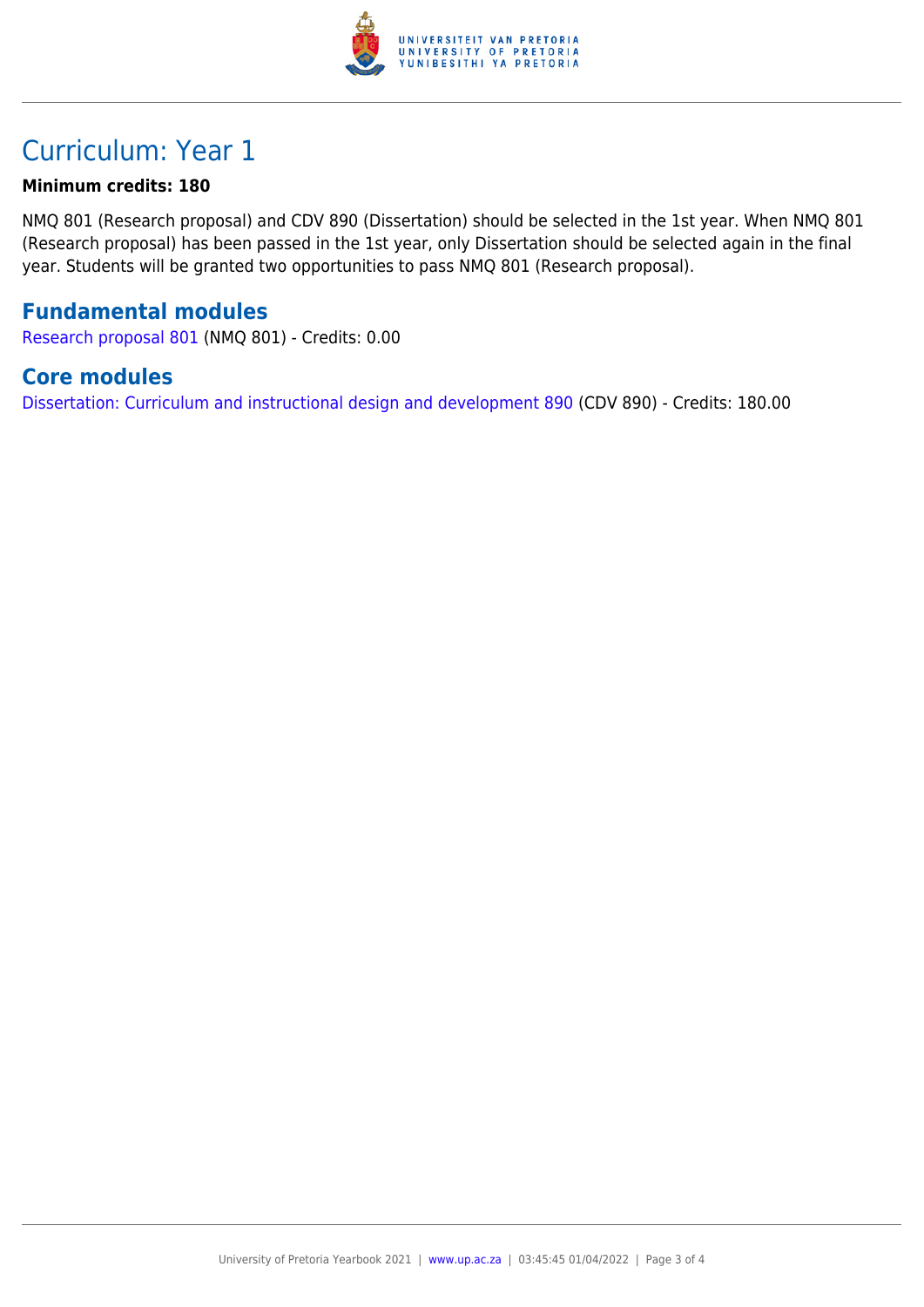

### Curriculum: Year 1

#### **Minimum credits: 180**

NMQ 801 (Research proposal) and CDV 890 (Dissertation) should be selected in the 1st year. When NMQ 801 (Research proposal) has been passed in the 1st year, only Dissertation should be selected again in the final year. Students will be granted two opportunities to pass NMQ 801 (Research proposal).

#### **Fundamental modules**

[Research proposal 801](https://www.up.ac.za/parents/yearbooks/2021/modules/view/NMQ 801) (NMQ 801) - Credits: 0.00

#### **Core modules**

[Dissertation: Curriculum and instructional design and development 890](https://www.up.ac.za/parents/yearbooks/2021/modules/view/CDV 890) (CDV 890) - Credits: 180.00